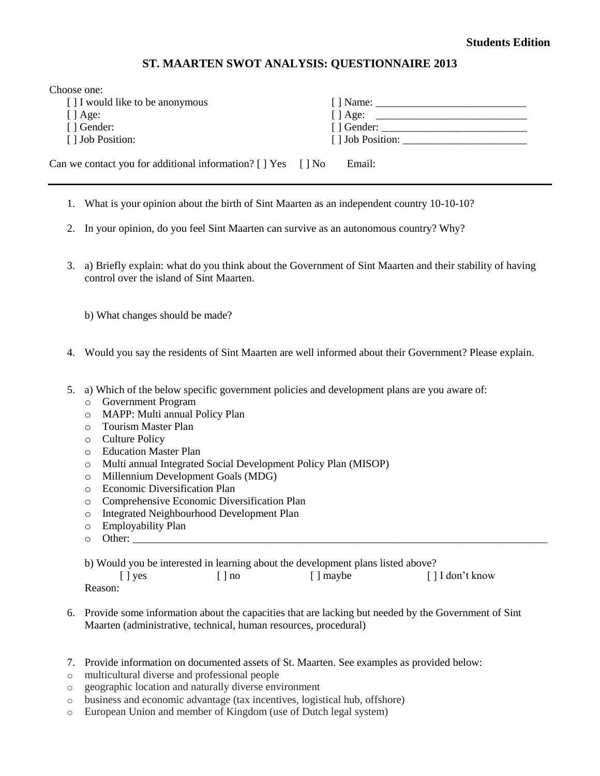## **Students Edition**

## **ST. MAARTEN SWOT ANALYSIS: QUESTIONNAIRE 2013**

| $\lceil \cdot \rceil$ Age:                                                    |  |
|-------------------------------------------------------------------------------|--|
| $\lceil$ Gender:                                                              |  |
|                                                                               |  |
|                                                                               |  |
| Can we contact you for additional information? $[ \ ]$ Yes $[ ]$ No<br>Email: |  |
|                                                                               |  |

- 1. What is your opinion about the birth of Sint Maarten as an independent country 10-10-10?
- 2. In your opinion, do you feel Sint Maarten can survive as an autonomous country? Why?
- 3. a) Briefly explain: what do you think about the Government of Sint Maarten and their stability of having control over the island of Sint Maarten.
	- b) What changes should be made?
- 4. Would you say the residents of Sint Maarten are well informed about their Government? Please explain.
- 5. a) Which of the below specific government policies and development plans are you aware of:
	- o Government Program
	- o MAPP: Multi annual Policy Plan
	- o Tourism Master Plan
	- o Culture Policy
	- o Education Master Plan
	- o Multi annual Integrated Social Development Policy Plan (MISOP)
	- o Millennium Development Goals (MDG)
	- o Economic Diversification Plan
	- o Comprehensive Economic Diversification Plan
	- o Integrated Neighbourhood Development Plan
	- o Employability Plan
	- o Other: \_\_\_\_\_\_\_\_\_\_\_\_\_\_\_\_\_\_\_\_\_\_\_\_\_\_\_\_\_\_\_\_\_\_\_\_\_\_\_\_\_\_\_\_\_\_\_\_\_\_\_\_\_\_\_\_\_\_\_\_\_\_\_\_\_\_\_\_\_\_\_\_\_\_\_\_\_

b) Would you be interested in learning about the development plans listed above? [ ] yes [ ] no [ ] maybe [ ] I don't know Reason:

- 6. Provide some information about the capacities that are lacking but needed by the Government of Sint Maarten (administrative, technical, human resources, procedural)
- 7. Provide information on documented assets of St. Maarten. See examples as provided below:
- o multicultural diverse and professional people
- o geographic location and naturally diverse environment
- o business and economic advantage (tax incentives, logistical hub, offshore)
- o European Union and member of Kingdom (use of Dutch legal system)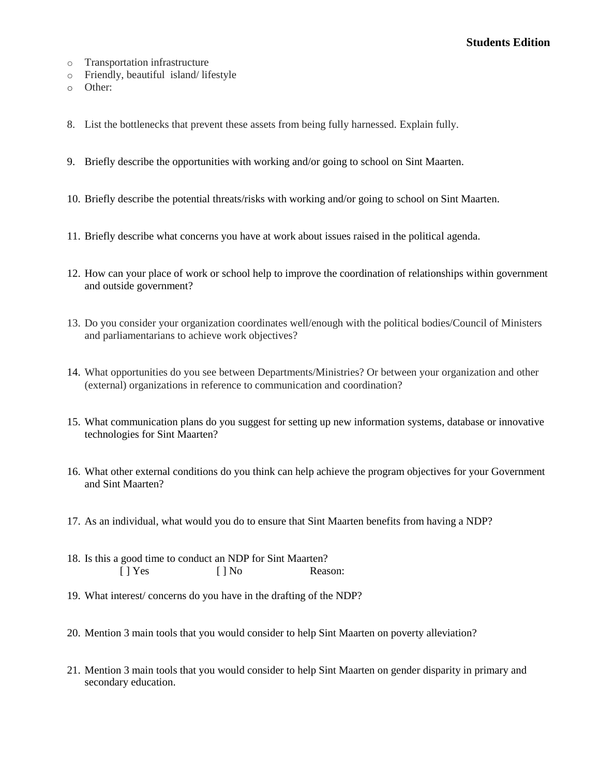## **Students Edition**

- o Transportation infrastructure
- o Friendly, beautiful island/ lifestyle
- o Other:
- 8. List the bottlenecks that prevent these assets from being fully harnessed. Explain fully.
- 9. Briefly describe the opportunities with working and/or going to school on Sint Maarten.
- 10. Briefly describe the potential threats/risks with working and/or going to school on Sint Maarten.
- 11. Briefly describe what concerns you have at work about issues raised in the political agenda.
- 12. How can your place of work or school help to improve the coordination of relationships within government and outside government?
- 13. Do you consider your organization coordinates well/enough with the political bodies/Council of Ministers and parliamentarians to achieve work objectives?
- 14. What opportunities do you see between Departments/Ministries? Or between your organization and other (external) organizations in reference to communication and coordination?
- 15. What communication plans do you suggest for setting up new information systems, database or innovative technologies for Sint Maarten?
- 16. What other external conditions do you think can help achieve the program objectives for your Government and Sint Maarten?
- 17. As an individual, what would you do to ensure that Sint Maarten benefits from having a NDP?
- 18. Is this a good time to conduct an NDP for Sint Maarten? [ ] Yes [ ] No Reason:
- 19. What interest/ concerns do you have in the drafting of the NDP?
- 20. Mention 3 main tools that you would consider to help Sint Maarten on poverty alleviation?
- 21. Mention 3 main tools that you would consider to help Sint Maarten on gender disparity in primary and secondary education.